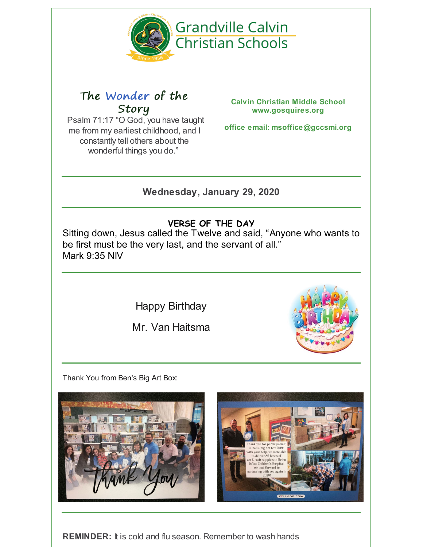

# The Wonder of the Story

Psalm 71:17 "O God, you have taught me from my earliest childhood, and I constantly tell others about the wonderful things you do."

**Calvin Christian Middle School www.gosquires.org**

**office email: msoffice@gccsmi.org**

**Wednesday, January 29, 2020**

# **VERSE OF THE DAY**

Sitting down, Jesus called the Twelve and said, "Anyone who wants to be first must be the very last, and the servant of all." [Mark](https://www.biblegateway.com/passage/?version=NIV&search=Mark 9:35) 9:35 [NIV](https://www.biblegateway.com/versions/index.php?action=getVersionInfo&vid=31)

Happy Birthday

Mr. Van Haitsma



Thank You from Ben's Big Art Box:





**REMINDER:** It is cold and flu season. Remember to wash hands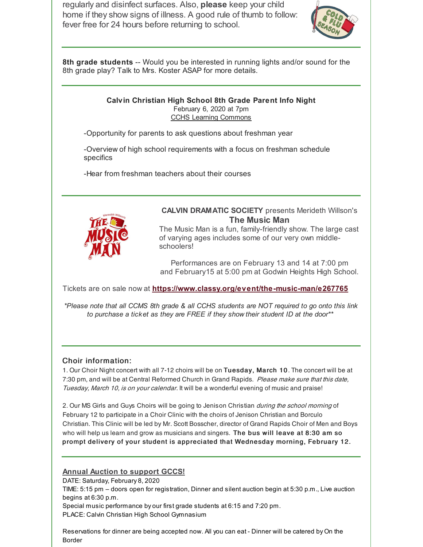regularly and disinfect surfaces. Also, **please** keep your child home if they show signs of illness. A good rule of thumb to follow: fever free for 24 hours before returning to school.



**8th grade students** -- Would you be interested in running lights and/or sound for the 8th grade play? Talk to Mrs. Koster ASAP for more details.

# **Calvin Christian High School 8th Grade Parent Info Night** February 6, 2020 at 7pm CCHS Learning Commons

-Opportunity for parents to ask questions about freshman year

-Overview of high school requirements with a focus on freshman schedule specifics

-Hear from freshman teachers about their courses



# **CALVIN DRAMATIC SOCIETY** presents Merideth Willson's **The Music Man**

The Music Man is a fun, family-friendly show. The large cast of varying ages includes some of our very own middleschoolers!

Performances are on February 13 and 14 at 7:00 pm and February15 at 5:00 pm at Godwin Heights High School.

Tickets are on sale now at **<https://www.classy.org/event/the-music-man/e267765>**

\*Please note that all CCMS 8th grade & all CCHS students are NOT required to go onto this link *to purchase a ticket as they are FREE if they show their student ID at the door\*\**

# Choir information:

1. Our Choir Night concert with all 7-12 choirs will be on Tuesday, March 10 . The concert will be at 7:30 pm, and will be at Central Reformed Church in Grand Rapids. Please make sure that this date, Tuesday, March 10, is on your calendar. It will be a wonderful evening of music and praise!

2. Our MS Girls and Guys Choirs will be going to Jenison Christian during the school morning of February 12 to participate in a Choir Clinic with the choirs of Jenison Christian and Borculo Christian. This Clinic will be led by Mr. Scott Bosscher, director of Grand Rapids Choir of Men and Boys who will help us learn and grow as musicians and singers. The bus will leave at 8:30 am so prompt delivery of your student is appreciated that Wednesday morning, February 12.

# **Annual Auction to support GCCS!**

DATE: Saturday, February 8, 2020

TIME: 5:15 pm – doors open for registration, Dinner and silent auction begin at 5:30 p.m., Live auction begins at 6:30 p.m.

Special music performance by our first grade students at 6:15 and 7:20 pm. PLACE: Calvin Christian High School Gymnasium

Reservations for dinner are being accepted now. All you can eat - Dinner will be catered by On the Border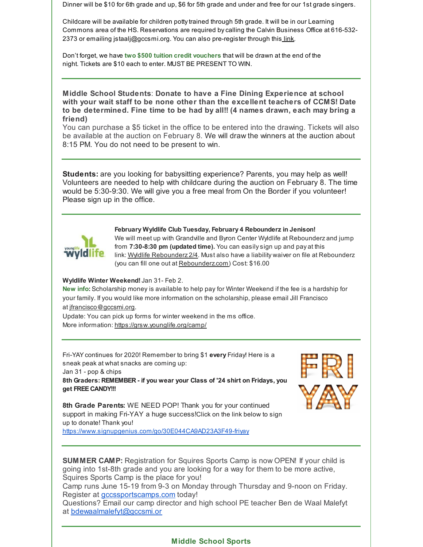Dinner will be \$10 for 6th grade and up, \$6 for 5th grade and under and free for our 1st grade singers.

Childcare will be available for children pottytrained through 5th grade. It will be in our Learning Commons area of the HS. Reservations are required bycalling the Calvin Business Office at 616-532 2373 or emailing jstaalj@gccsmi.org. You can also pre-register through this [link](https://docs.google.com/forms/d/1yIRvbcc3Hij8KmY63jTXnkS9np8ZSoNE3QXAgTecXTk/edit).

Don't forget, we have **two \$500 tuition credit vouchers** that will be drawn at the end of the night. Tickets are \$10 each to enter. MUST BE PRESENT TO WIN.

**Middle School Students**: **Donate to have a Fine Dining Experience at school with your wait staff to be none other than the excellent teachers of CCMS! Date to be determined. Fine time to be had by all!! (4 names drawn, each may bring a friend)**

You can purchase a \$5 ticket in the office to be entered into the drawing. Tickets will also be available at the auction on February 8. We will draw the winners at the auction about 8:15 PM. You do not need to be present to win.

**Students:** are you looking for babysitting experience? Parents, you may help as well! Volunteers are needed to help with childcare during the auction on February 8. The time would be 5:30-9:30. We will give you a free meal from On the Border if you volunteer! Please sign up in the office.



**February Wyldlife Club Tuesday, February 4 Rebounderz in Jenison!**

We will meet up with Grandville and Byron Center Wyldlife at Rebounderz and jump from **7:30-8:30 pm (updated time).** You can easilysign up and pay at this link: Wyldlife [Rebounderz](https://forms.gle/dSU3aDKBeBi4tUyu6) 2/4. Must also have a liability waiver on file at Rebounderz (you can fill one out at [Rebounderz.com](https://www.rebounderz.com/city/grand-rapids/)) Cost: \$16.00

#### **Wyldlife Winter Weekend!**Jan 31- Feb 2.

**New info:** Scholarship money is available to help pay for Winter Weekend if the fee is a hardship for your family. If you would like more information on the scholarship, please email Jill Francisco at [jfrancisco@gccsmi.org](mailto:jfrancisco@gccsmi.org).

Update: You can pick up forms for winter weekend in the ms office. More information: <https://grsw.younglife.org/camp/>

Fri-YAY continues for 2020! Remember to bring \$1 **every** Friday! Here is a sneak peak at what snacks are coming up:

Jan 31 - pop & chips

**8th Graders: REMEMBER - if you wear your Class of '24 shirt on Fridays, you get FREE CANDY!!!**



**8th Grade Parents:** WE NEED POP! Thank you for your continued support in making Fri-YAY a huge success!Click on the link below to sign up to donate! Thank you!

<https://www.signupgenius.com/go/30E044CA9AD23A3F49-friyay>

**SUMMER CAMP:** Registration for Squires Sports Camp is now OPEN! If your child is going into 1st-8th grade and you are looking for a way for them to be more active, Squires Sports Camp is the place for you!

Camp runs June 15-19 from 9-3 on Monday through Thursday and 9-noon on Friday. Register at [gccssportscamps.com](http://gccssportscamps.com/) today!

Questions? Email our camp director and high school PE teacher Ben de Waal Malefyt at [bdewaalmalefyt@gccsmi.or](mailto:bdewaalmalefyt@gccsmi.org)

### **Middle School Sports**